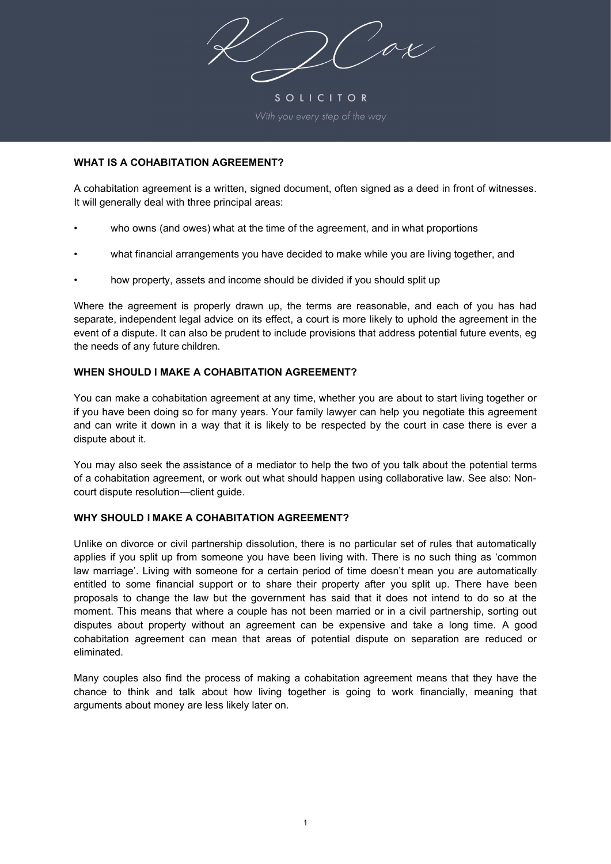ox

SOLICITOR

## **WHAT IS A COHABITATION AGREEMENT?**

A cohabitation agreement is a written, signed document, often signed as a deed in front of witnesses. It will generally deal with three principal areas:

- who owns (and owes) what at the time of the agreement, and in what proportions
- what financial arrangements you have decided to make while you are living together, and
- how property, assets and income should be divided if you should split up

Where the agreement is properly drawn up, the terms are reasonable, and each of you has had separate, independent legal advice on its effect, a court is more likely to uphold the agreement in the event of a dispute. It can also be prudent to include provisions that address potential future events, eg the needs of any future children.

## **WHEN SHOULD I MAKE A COHABITATION AGREEMENT?**

You can make a cohabitation agreement at any time, whether you are about to start living together or if you have been doing so for many years. Your family lawyer can help you negotiate this agreement and can write it down in a way that it is likely to be respected by the court in case there is ever a dispute about it.

You may also seek the assistance of a mediator to help the two of you talk about the potential terms of a cohabitation agreement, or work out what should happen using collaborative law. See also: Noncourt dispute resolution—client guide.

# **WHY SHOULD I MAKE A COHABITATION AGREEMENT?**

Unlike on divorce or civil partnership dissolution, there is no particular set of rules that automatically applies if you split up from someone you have been living with. There is no such thing as 'common law marriage'. Living with someone for a certain period of time doesn't mean you are automatically entitled to some financial support or to share their property after you split up. There have been proposals to change the law but the government has said that it does not intend to do so at the moment. This means that where a couple has not been married or in a civil partnership, sorting out disputes about property without an agreement can be expensive and take a long time. A good cohabitation agreement can mean that areas of potential dispute on separation are reduced or eliminated.

Many couples also find the process of making a cohabitation agreement means that they have the chance to think and talk about how living together is going to work financially, meaning that arguments about money are less likely later on.